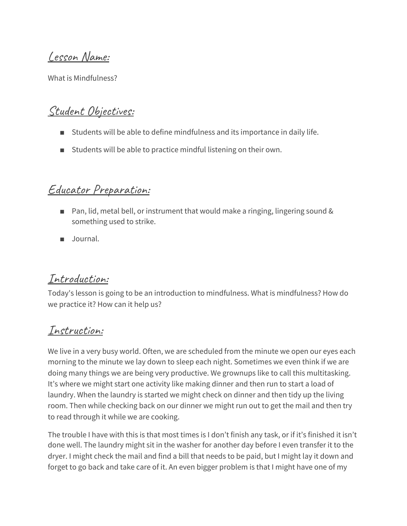Lesson Name:

What is Mindfulness?

## Student Objectives:

- Students will be able to define mindfulness and its importance in daily life.
- Students will be able to practice mindful listening on their own.

#### Educator Preparation:

- Pan, lid, metal bell, or instrument that would make a ringing, lingering sound & something used to strike.
- Journal.

#### Introduction:

Today's lesson is going to be an introduction to mindfulness. What is mindfulness? How do we practice it? How can it help us?

## Instruction:

We live in a very busy world. Often, we are scheduled from the minute we open our eyes each morning to the minute we lay down to sleep each night. Sometimes we even think if we are doing many things we are being very productive. We grownups like to call this multitasking. It's where we might start one activity like making dinner and then run to start a load of laundry. When the laundry is started we might check on dinner and then tidy up the living room. Then while checking back on our dinner we might run out to get the mail and then try to read through it while we are cooking.

The trouble I have with this is that most times is I don't finish any task, or if it's finished it isn't done well. The laundry might sit in the washer for another day before I even transfer it to the dryer. I might check the mail and find a bill that needs to be paid, but I might lay it down and forget to go back and take care of it. An even bigger problem is that I might have one of my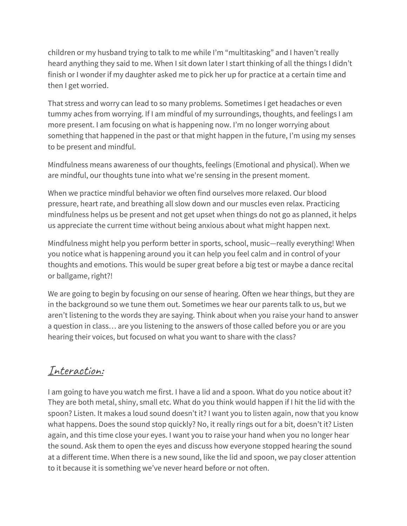children or my husband trying to talk to me while I'm "multitasking" and I haven't really heard anything they said to me. When I sit down later I start thinking of all the things I didn't finish or I wonder if my daughter asked me to pick her up for practice at a certain time and then I get worried.

That stress and worry can lead to so many problems. Sometimes I get headaches or even tummy aches from worrying. If I am mindful of my surroundings, thoughts, and feelings I am more present. I am focusing on what is happening now. I'm no longer worrying about something that happened in the past or that might happen in the future, I'm using my senses to be present and mindful.

Mindfulness means awareness of our thoughts, feelings (Emotional and physical). When we are mindful, our thoughts tune into what we're sensing in the present moment.

When we practice mindful behavior we often find ourselves more relaxed. Our blood pressure, heart rate, and breathing all slow down and our muscles even relax. Practicing mindfulness helps us be present and not get upset when things do not go as planned, it helps us appreciate the current time without being anxious about what might happen next.

Mindfulness might help you perform better in sports, school, music—really everything! When you notice what is happening around you it can help you feel calm and in control of your thoughts and emotions. This would be super great before a big test or maybe a dance recital or ballgame, right?!

We are going to begin by focusing on our sense of hearing. Often we hear things, but they are in the background so we tune them out. Sometimes we hear our parents talk to us, but we aren't listening to the words they are saying. Think about when you raise your hand to answer a question in class… are you listening to the answers of those called before you or are you hearing their voices, but focused on what you want to share with the class?

## Interaction:

I am going to have you watch me first. I have a lid and a spoon. What do you notice about it? They are both metal, shiny, small etc. What do you think would happen if I hit the lid with the spoon? Listen. It makes a loud sound doesn't it? I want you to listen again, now that you know what happens. Does the sound stop quickly? No, it really rings out for a bit, doesn't it? Listen again, and this time close your eyes. I want you to raise your hand when you no longer hear the sound. Ask them to open the eyes and discuss how everyone stopped hearing the sound at a different time. When there is a new sound, like the lid and spoon, we pay closer attention to it because it is something we've never heard before or not often.